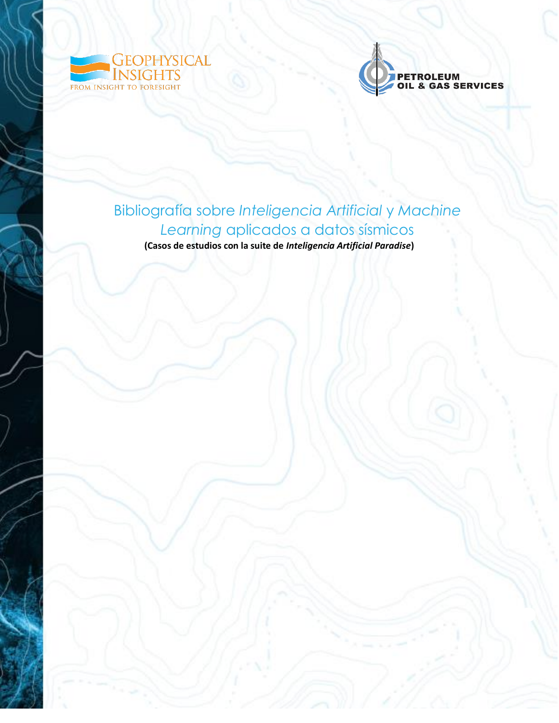



## Bibliografía sobre *Inteligencia Artificial* y *Machine Learning* aplicados a datos sísmicos **(Casos de estudios con la suite de** *Inteligencia Artificial Paradise***)**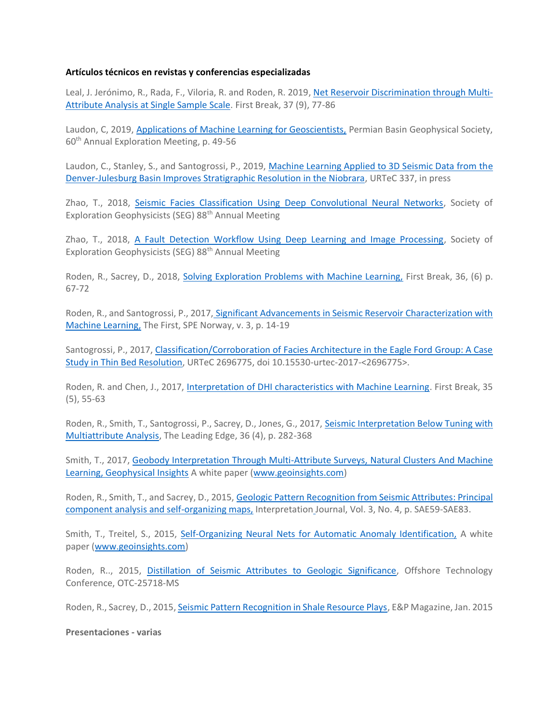## **Artículos técnicos en revistas y conferencias especializadas**

Leal, J. Jerónimo, R., Rada, F., Viloria, R. and Roden, R. 2019, [Net Reservoir Discrimination through Multi-](https://www.geoinsights.com/net-reservoir-discrimination-through-multi-attribute-analysis-at-single-sample-scale/)[Attribute Analysis at Single Sample Scale.](https://www.geoinsights.com/net-reservoir-discrimination-through-multi-attribute-analysis-at-single-sample-scale/) First Break, 37 (9), 77-86

Laudon, C, 2019, [Applications of Machine Learning for Geoscientists,](https://www.geoinsights.com/applications-of-machine-learning-for-geoscientists-permian-basin/) Permian Basin Geophysical Society, 60th Annual Exploration Meeting, p. 49-56

Laudon, C., Stanley, S., and Santogrossi, P., 2019, Machine Learning Applied to 3D Seismic Data from the [Denver-Julesburg Basin Improves Stratigraphic Resolution in the Niobrara,](https://www.geoinsights.com/machine-learning-applied-to-3d-seismic-data-from-the-denver-julesburg-basin-improves-stratigraphic-resolution-in-the-niobrara/) URTeC 337, in press

Zhao, T., 2018, [Seismic Facies Classification Using Deep Convolutional Neural Networks,](https://www.geoinsights.com/seismic-facies-classification-using-different-deep-convolutional-neural-networks/) Society of Exploration Geophysicists (SEG) 88<sup>th</sup> Annual Meeting

Zhao, T., 2018, [A Fault Detection Workflow Using Deep Learning and Image Processing,](https://www.geoinsights.com/a-fault-detection-workflow-using-deep-learning-and-image-processing/) Society of Exploration Geophysicists (SEG) 88th Annual Meeting

Roden, R., Sacrey, D., 2018, [Solving Exploration Problems with Machine Learning,](https://www.geoinsights.com/solving-exploration-problems-with-machine-learning/) First Break, 36, (6) p. 67-72

Roden, R., and Santogrossi, P., 2017, Significant Advancements in Seismic Reservoir [Characterization](https://www.geoinsights.com/significant-advancements-in-seismic-reservoir-characterization-with-machine-learning/) with Machine [Learning,](https://www.geoinsights.com/significant-advancements-in-seismic-reservoir-characterization-with-machine-learning/) The First, SPE Norway, v. 3, p. 14-19

Santogrossi, P., 2017, Classification/Corroboration of Facies Architecture in the Eagle Ford Group: A Case [Study in Thin Bed Resolution,](https://library.seg.org/doi/abs/10.15530/urtec-2017-2696775) URTeC 2696775, doi 10.15530-urtec-2017-<2696775>.

Roden, R. and Chen, J., 2017, [Interpretation of DHI characteristics with Machine Learning.](https://www.geoinsights.com/interpretation-of-dhi-characteristics-with-machine-learning/) First Break, 35 (5), 55-63

Roden, R., Smith, T., Santogrossi, P., Sacrey, D., Jones, G., 2017, [Seismic Interpretation Below Tuning with](https://www.geoinsights.com/seismic-interpretation-below-tuning-with-multiattribute-analysis/)  [Multiattribute Analysis,](https://www.geoinsights.com/seismic-interpretation-below-tuning-with-multiattribute-analysis/) The Leading Edge, 36 (4), p. 282-368

Smith, T., 2017, [Geobody Interpretation Through Multi-Attribute Surveys, Natural Clusters And Machine](https://www.geoinsights.com/geobody-interpretation-through-multi-attribute-surveys-natural-clusters-and-machine-learning/)  [Learning, Geophysical Insights](https://www.geoinsights.com/geobody-interpretation-through-multi-attribute-surveys-natural-clusters-and-machine-learning/) A white paper [\(www.geoinsights.com\)](http://www.geoinsights.com/)

Roden, R., Smith, T., and Sacrey, D., 2015, Geologic Pattern Recognition from Seismic Attributes: Principal [component analysis and self-organizing maps,](https://www.geoinsights.com/geologic-pattern-recognition-from-seismic-attributes-principal-component-analysis-and-self-organizing-maps/) Interpretation Journal, Vol. 3, No. 4, p. SAE59-SAE83.

Smith, T., Treitel, S., 2015, [Self-Organizing Neural Nets for Automatic Anomaly Identification,](https://www.geoinsights.com/self-organizing-neural-nets-for-automatic-anomaly-identification/) A white paper [\(www.geoinsights.com\)](http://www.geoinsights.com/)

Roden, R.., 2015, [Distillation of Seismic Attributes to Geologic Significance,](https://www.geoinsights.com/distillation-of-seismic-attributes-to-geologic-significance/) Offshore Technology Conference, OTC-25718-MS

Roden, R., Sacrey, D., 2015, [Seismic Pattern Recognition in Shale Resource Plays,](https://www.geoinsights.com/seismic-pattern-recognition-in-shale-resource-plays/) E&P Magazine, Jan. 2015

**Presentaciones - varias**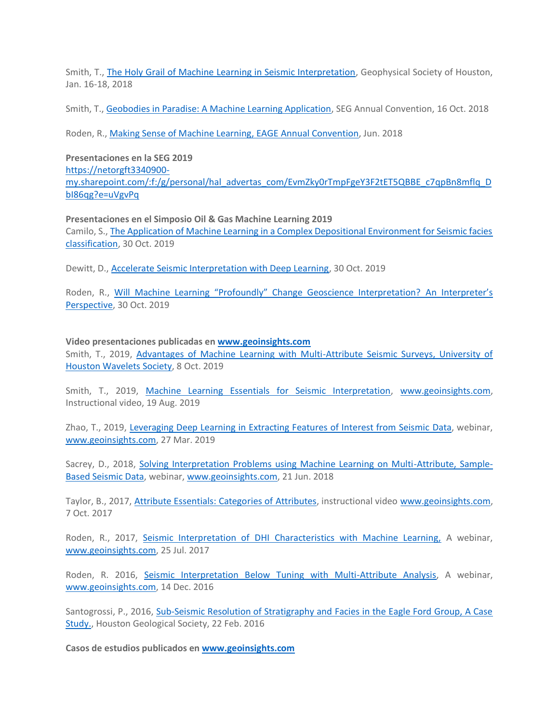Smith, T., [The Holy Grail of Machine Learning in Seismic Interpretation,](https://www.geoinsights.com/the-holy-grail-of-machine-learning-in-seismic-interpretation/) Geophysical Society of Houston, Jan. 16-18, 2018

Smith, T., [Geobodies in Paradise: A Machine Learning Application,](https://www.geoinsights.com/geobodies-in-paradise-a-machine-learning-application/) SEG Annual Convention, 16 Oct. 2018

Roden, R., [Making Sense of Machine Learning, EAGE Annual Convention,](https://www.geoinsights.com/making-sense-of-machine-learning/) Jun. 2018

**Presentaciones en la SEG 2019** [https://netorgft3340900](https://netorgft3340900-my.sharepoint.com/:f:/g/personal/hal_advertas_com/EvmZky0rTmpFgeY3F2tET5QBBE_c7qpBn8mflq_DbI86qg?e=uVgvPq) [my.sharepoint.com/:f:/g/personal/hal\\_advertas\\_com/EvmZky0rTmpFgeY3F2tET5QBBE\\_c7qpBn8mflq\\_D](https://netorgft3340900-my.sharepoint.com/:f:/g/personal/hal_advertas_com/EvmZky0rTmpFgeY3F2tET5QBBE_c7qpBn8mflq_DbI86qg?e=uVgvPq) [bI86qg?e=uVgvPq](https://netorgft3340900-my.sharepoint.com/:f:/g/personal/hal_advertas_com/EvmZky0rTmpFgeY3F2tET5QBBE_c7qpBn8mflq_DbI86qg?e=uVgvPq)

**Presentaciones en el Simposio Oil & Gas Machine Learning 2019** Camilo, S.[, The Application of Machine Learning in a Complex Depositional Environment for Seismic facies](https://netorgft3340900-my.sharepoint.com/:p:/r/personal/hal_advertas_com/_layouts/15/Doc.aspx?sourcedoc=%7BF519F01B-9F9B-4F51-AC64-321180CB46BD%7D&file=ML_Symposium_Camilo_SierraV4.pptx&action=edit&mobileredirect=true)  [classification,](https://netorgft3340900-my.sharepoint.com/:p:/r/personal/hal_advertas_com/_layouts/15/Doc.aspx?sourcedoc=%7BF519F01B-9F9B-4F51-AC64-321180CB46BD%7D&file=ML_Symposium_Camilo_SierraV4.pptx&action=edit&mobileredirect=true) 30 Oct. 2019

Dewitt, D., [Accelerate Seismic Interpretation with Deep Learning,](https://netorgft3340900-my.sharepoint.com/:p:/g/personal/hal_advertas_com/EQlXpiNrpj5HotIiFnncUR4BisfWFsb7Q2VoA1uoYcUwIw?e=2FWE4b) 30 Oct. 2019

Roden, R., [Will Machine Learning "Profoundly" Change Geoscience Interpretation?](https://netorgft3340900-my.sharepoint.com/:p:/g/personal/hal_advertas_com/ETILJGWGFBVOkwOr01Y3T70BtS8FAI6UDGeamq_w-eg1Dg?e=ph1T18) An Interpreter's [Perspective,](https://netorgft3340900-my.sharepoint.com/:p:/g/personal/hal_advertas_com/ETILJGWGFBVOkwOr01Y3T70BtS8FAI6UDGeamq_w-eg1Dg?e=ph1T18) 30 Oct. 2019

**Video presentaciones publicadas en [www.geoinsights.com](http://www.geoinsights.com/)** Smith, T., 2019, [Advantages of Machine Learning with Multi-Attribute Seismic Surveys, University of](https://www.geoinsights.com/ml-multi-attribute-seismic-surveys/)  [Houston Wavelets Society,](https://www.geoinsights.com/ml-multi-attribute-seismic-surveys/) 8 Oct. 2019

Smith, T., 2019, [Machine Learning Essentials for Seismic Interpretation,](https://www.geoinsights.com/machine-learning-essentials-2/) [www.geoinsights.com,](http://www.geoinsights.com/) Instructional video, 19 Aug. 2019

Zhao, T., 2019, [Leveraging Deep Learning in Extracting Features of Interest from Seismic Data,](https://www.geoinsights.com/cnn-webinar-video/) webinar, [www.geoinsights.com,](http://www.geoinsights.com/) 27 Mar. 2019

Sacrey, D., 2018, [Solving Interpretation Problems using Machine Learning on Multi-Attribute, Sample-](https://www.geoinsights.com/solving-interpretation-problems-using-machine-learning-on-multi-attribute-sample-based-seismic-data/)[Based Seismic Data,](https://www.geoinsights.com/solving-interpretation-problems-using-machine-learning-on-multi-attribute-sample-based-seismic-data/) webinar, [www.geoinsights.com,](http://www.geoinsights.com/) 21 Jun. 2018

Taylor, B., 2017, **Attribute Essentials: Categories of Attributes**, instructional video [www.geoinsights.com,](http://www.geoinsights.com/) 7 Oct. 2017

Roden, R., 2017, [Seismic Interpretation of DHI Characteristics with Machine Learning,](https://www.geoinsights.com/seismic-interpretation-of-dhi-characteristics-with-machine-learning/) A webinar, [www.geoinsights.com,](http://www.geoinsights.com/) 25 Jul. 2017

Roden, R. 2016, [Seismic Interpretation Below Tuning with Multi-Attribute Analysis,](https://www.geoinsights.com/seismic-interpretation-below-tuning-with-multi-attribute-analysis/) A webinar, [www.geoinsights.com,](http://www.geoinsights.com/) 14 Dec. 2016

Santogrossi, P., 2016, Sub-Seismic Resolution of Stratigraphy and Facies in the Eagle Ford Group, A Case [Study.,](https://www.geoinsights.com/eagle-ford-case-study/) Houston Geological Society, 22 Feb. 2016

**Casos de estudios publicados en [www.geoinsights.com](http://www.geoinsights.com/)**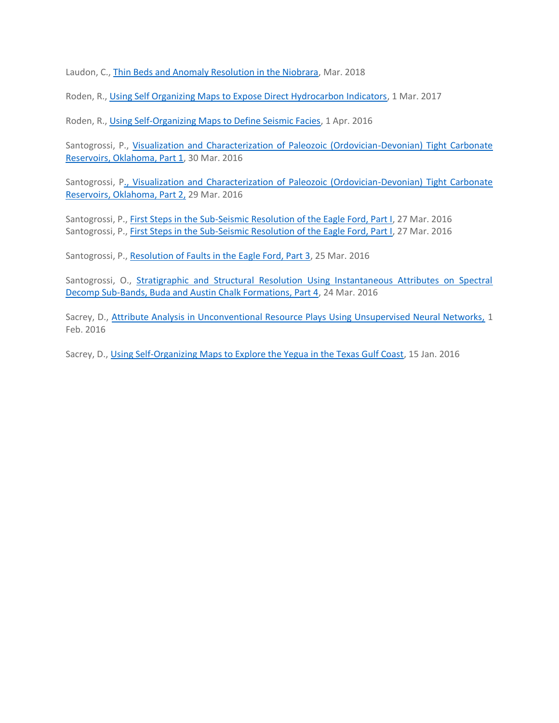Laudon, C., [Thin Beds and Anomaly Resolution in the Niobrara,](https://www.geoinsights.com/thin-beds-maching-learning-niobrara/) Mar. 2018

Roden, R., [Using Self Organizing Maps to Expose Direct Hydrocarbon Indicators,](https://www.geoinsights.com/using-self-organizing-maps-to-expose-direct-hydrocarbon-indicators/) 1 Mar. 2017

Roden, R., [Using Self-Organizing Maps to Define Seismic Facies,](https://www.geoinsights.com/using-self-organizing-maps-to-define-seismic-facies-pressure/) 1 Apr. 2016

Santogrossi, P., [Visualization and Characterization of Paleozoic \(Ordovician-Devonian\) Tight Carbonate](https://www.geoinsights.com/visualization-and-characterization-of-paleozoic-ordovician-devonian-tight-carbonate-reservoirs-oklahoma-part-1/)  [Reservoirs, Oklahoma, Part 1,](https://www.geoinsights.com/visualization-and-characterization-of-paleozoic-ordovician-devonian-tight-carbonate-reservoirs-oklahoma-part-1/) 30 Mar. 2016

Santogrossi, [P., Visualization and Characterization of Paleozoic \(Ordovician-Devonian\) Tight Carbonate](https://www.geoinsights.com/visualization-and-characterization-of-paleozoic-ordovician-devonian-tight-carbonate-reservoirs-oklahoma-part-2/)  [Reservoirs, Oklahoma, Part 2,](https://www.geoinsights.com/visualization-and-characterization-of-paleozoic-ordovician-devonian-tight-carbonate-reservoirs-oklahoma-part-2/) 29 Mar. 2016

Santogrossi, P., *First Steps in the Sub-Seismic Resolution of the Eagle Ford, Part I*, 27 Mar. 2016 Santogrossi, P., [First Steps in the Sub-Seismic Resolution of the Eagle Ford, Part I,](https://www.geoinsights.com/first-steps-in-the-sub-seismic-resolution-of-the-eagle-ford/) 27 Mar. 2016

Santogrossi, P., [Resolution of Faults in the Eagle Ford, Part 3,](https://www.geoinsights.com/resolution-of-faults-in-the-eagle-ford-part-3/) 25 Mar. 2016

Santogrossi, O., [Stratigraphic and Structural Resolution Using Instantaneous Attributes on Spectral](https://www.geoinsights.com/stratigraphic-and-structural-resolution-using-instantaneous-attributes-on-spectral-decomp-sub-bands-buda-and-austin-chalk-formations-part-4/)  [Decomp Sub-Bands, Buda and Austin Chalk Formations, Part 4,](https://www.geoinsights.com/stratigraphic-and-structural-resolution-using-instantaneous-attributes-on-spectral-decomp-sub-bands-buda-and-austin-chalk-formations-part-4/) 24 Mar. 2016

Sacrey, D., [Attribute Analysis in Unconventional Resource Plays Using Unsupervised Neural Networks,](https://www.geoinsights.com/attribute-analysis-using-unsupervised-neural-networks/) 1 Feb. 2016

Sacrey, D., [Using Self-Organizing Maps to Explore the Yegua in the Texas Gulf Coast,](https://www.geoinsights.com/using-self-organizing-maps-to-explore-the-yegua-in-the-texas-gulf-coast/) 15 Jan. 2016